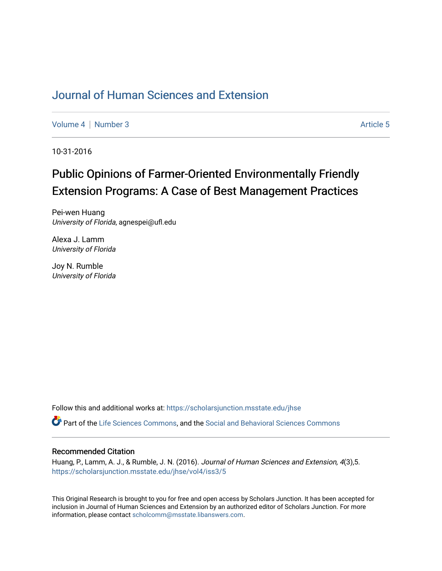# [Journal of Human Sciences and Extension](https://scholarsjunction.msstate.edu/jhse)

[Volume 4](https://scholarsjunction.msstate.edu/jhse/vol4) | [Number 3](https://scholarsjunction.msstate.edu/jhse/vol4/iss3) Article 5

10-31-2016

# Public Opinions of Farmer-Oriented Environmentally Friendly Extension Programs: A Case of Best Management Practices

Pei-wen Huang University of Florida, agnespei@ufl.edu

Alexa J. Lamm University of Florida

Joy N. Rumble University of Florida

Follow this and additional works at: [https://scholarsjunction.msstate.edu/jhse](https://scholarsjunction.msstate.edu/jhse?utm_source=scholarsjunction.msstate.edu%2Fjhse%2Fvol4%2Fiss3%2F5&utm_medium=PDF&utm_campaign=PDFCoverPages)

Part of the [Life Sciences Commons,](http://network.bepress.com/hgg/discipline/1016?utm_source=scholarsjunction.msstate.edu%2Fjhse%2Fvol4%2Fiss3%2F5&utm_medium=PDF&utm_campaign=PDFCoverPages) and the [Social and Behavioral Sciences Commons](http://network.bepress.com/hgg/discipline/316?utm_source=scholarsjunction.msstate.edu%2Fjhse%2Fvol4%2Fiss3%2F5&utm_medium=PDF&utm_campaign=PDFCoverPages)

#### Recommended Citation

Huang, P., Lamm, A. J., & Rumble, J. N. (2016). Journal of Human Sciences and Extension, 4(3),5. [https://scholarsjunction.msstate.edu/jhse/vol4/iss3/5](https://scholarsjunction.msstate.edu/jhse/vol4/iss3/5?utm_source=scholarsjunction.msstate.edu%2Fjhse%2Fvol4%2Fiss3%2F5&utm_medium=PDF&utm_campaign=PDFCoverPages)

This Original Research is brought to you for free and open access by Scholars Junction. It has been accepted for inclusion in Journal of Human Sciences and Extension by an authorized editor of Scholars Junction. For more information, please contact [scholcomm@msstate.libanswers.com](mailto:scholcomm@msstate.libanswers.com).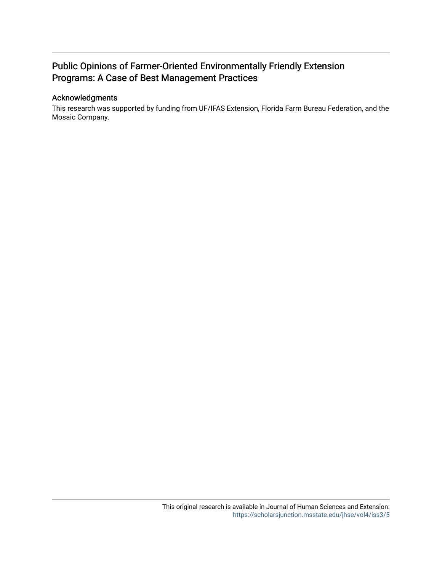# Public Opinions of Farmer-Oriented Environmentally Friendly Extension Programs: A Case of Best Management Practices

#### Acknowledgments

This research was supported by funding from UF/IFAS Extension, Florida Farm Bureau Federation, and the Mosaic Company.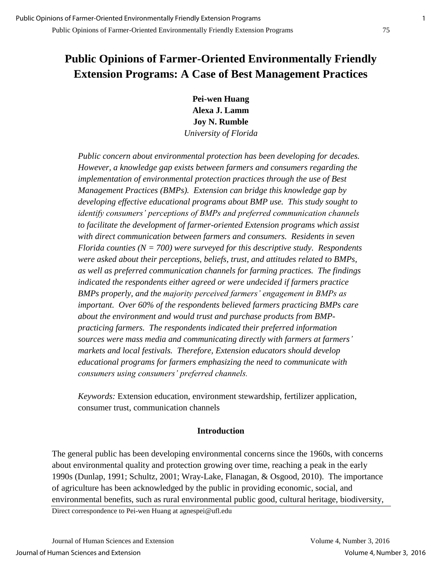# **Public Opinions of Farmer-Oriented Environmentally Friendly Extension Programs: A Case of Best Management Practices**

**Pei-wen Huang Alexa J. Lamm Joy N. Rumble**  *University of Florida* 

*Public concern about environmental protection has been developing for decades. However, a knowledge gap exists between farmers and consumers regarding the implementation of environmental protection practices through the use of Best Management Practices (BMPs). Extension can bridge this knowledge gap by developing effective educational programs about BMP use. This study sought to identify consumers' perceptions of BMPs and preferred communication channels to facilitate the development of farmer-oriented Extension programs which assist with direct communication between farmers and consumers. Residents in seven Florida counties (N = 700) were surveyed for this descriptive study. Respondents were asked about their perceptions, beliefs, trust, and attitudes related to BMPs, as well as preferred communication channels for farming practices. The findings indicated the respondents either agreed or were undecided if farmers practice BMPs properly, and the majority perceived farmers' engagement in BMPs as important. Over 60% of the respondents believed farmers practicing BMPs care about the environment and would trust and purchase products from BMPpracticing farmers. The respondents indicated their preferred information sources were mass media and communicating directly with farmers at farmers' markets and local festivals. Therefore, Extension educators should develop educational programs for farmers emphasizing the need to communicate with consumers using consumers' preferred channels.*

*Keywords:* Extension education, environment stewardship, fertilizer application, consumer trust, communication channels

## **Introduction**

The general public has been developing environmental concerns since the 1960s, with concerns about environmental quality and protection growing over time, reaching a peak in the early 1990s (Dunlap, 1991; Schultz, 2001; Wray-Lake, Flanagan, & Osgood, 2010). The importance of agriculture has been acknowledged by the public in providing economic, social, and environmental benefits, such as rural environmental public good, cultural heritage, biodiversity,

Direct correspondence to Pei-wen Huang at agnespei@ufl.edu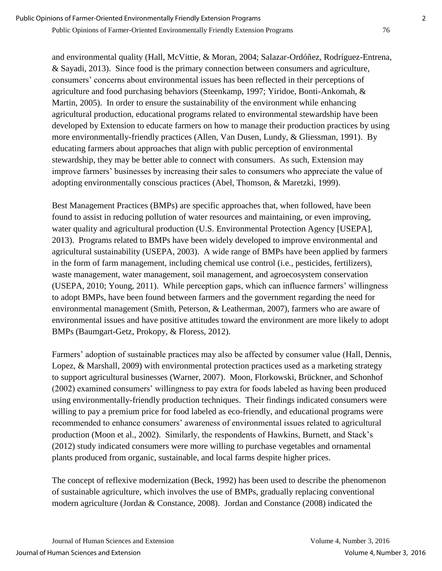and environmental quality (Hall, McVittie, & Moran, 2004; Salazar-Ordóñez, Rodríguez-Entrena, & Sayadi, 2013). Since food is the primary connection between consumers and agriculture, consumers' concerns about environmental issues has been reflected in their perceptions of agriculture and food purchasing behaviors (Steenkamp, 1997; Yiridoe, Bonti-Ankomah, & Martin, 2005). In order to ensure the sustainability of the environment while enhancing agricultural production, educational programs related to environmental stewardship have been developed by Extension to educate farmers on how to manage their production practices by using more environmentally-friendly practices (Allen, Van Dusen, Lundy, & Gliessman, 1991). By educating farmers about approaches that align with public perception of environmental stewardship, they may be better able to connect with consumers. As such, Extension may improve farmers' businesses by increasing their sales to consumers who appreciate the value of

adopting environmentally conscious practices (Abel, Thomson, & Maretzki, 1999).

Best Management Practices (BMPs) are specific approaches that, when followed, have been found to assist in reducing pollution of water resources and maintaining, or even improving, water quality and agricultural production (U.S. Environmental Protection Agency [USEPA], 2013). Programs related to BMPs have been widely developed to improve environmental and agricultural sustainability (USEPA, 2003). A wide range of BMPs have been applied by farmers in the form of farm management, including chemical use control (i.e., pesticides, fertilizers), waste management, water management, soil management, and agroecosystem conservation (USEPA, 2010; Young, 2011). While perception gaps, which can influence farmers' willingness to adopt BMPs, have been found between farmers and the government regarding the need for environmental management (Smith, Peterson, & Leatherman, 2007), farmers who are aware of environmental issues and have positive attitudes toward the environment are more likely to adopt BMPs (Baumgart-Getz, Prokopy, & Floress, 2012).

Farmers' adoption of sustainable practices may also be affected by consumer value (Hall, Dennis, Lopez, & Marshall, 2009) with environmental protection practices used as a marketing strategy to support agricultural businesses (Warner, 2007). Moon, Florkowski, Brückner, and Schonhof (2002) examined consumers' willingness to pay extra for foods labeled as having been produced using environmentally-friendly production techniques. Their findings indicated consumers were willing to pay a premium price for food labeled as eco-friendly, and educational programs were recommended to enhance consumers' awareness of environmental issues related to agricultural production (Moon et al., 2002). Similarly, the respondents of Hawkins, Burnett, and Stack's (2012) study indicated consumers were more willing to purchase vegetables and ornamental plants produced from organic, sustainable, and local farms despite higher prices.

The concept of reflexive modernization (Beck, 1992) has been used to describe the phenomenon of sustainable agriculture, which involves the use of BMPs, gradually replacing conventional modern agriculture (Jordan & Constance, 2008). Jordan and Constance (2008) indicated the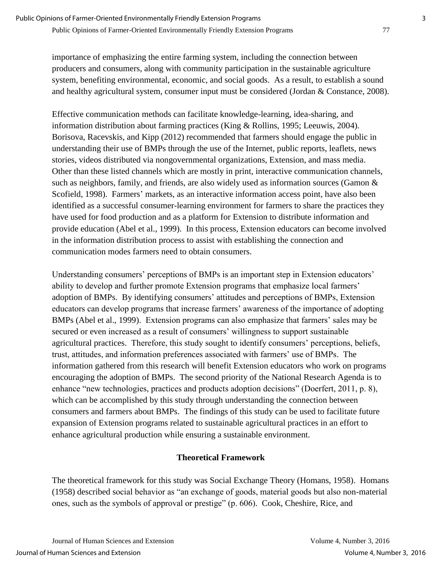importance of emphasizing the entire farming system, including the connection between producers and consumers, along with community participation in the sustainable agriculture system, benefiting environmental, economic, and social goods. As a result, to establish a sound and healthy agricultural system, consumer input must be considered (Jordan & Constance, 2008).

Effective communication methods can facilitate knowledge-learning, idea-sharing, and information distribution about farming practices (King & Rollins, 1995; Leeuwis, 2004). Borisova, Racevskis, and Kipp (2012) recommended that farmers should engage the public in understanding their use of BMPs through the use of the Internet, public reports, leaflets, news stories, videos distributed via nongovernmental organizations, Extension, and mass media. Other than these listed channels which are mostly in print, interactive communication channels, such as neighbors, family, and friends, are also widely used as information sources (Gamon & Scofield, 1998). Farmers' markets, as an interactive information access point, have also been identified as a successful consumer-learning environment for farmers to share the practices they have used for food production and as a platform for Extension to distribute information and provide education (Abel et al., 1999). In this process, Extension educators can become involved in the information distribution process to assist with establishing the connection and communication modes farmers need to obtain consumers.

Understanding consumers' perceptions of BMPs is an important step in Extension educators' ability to develop and further promote Extension programs that emphasize local farmers' adoption of BMPs. By identifying consumers' attitudes and perceptions of BMPs, Extension educators can develop programs that increase farmers' awareness of the importance of adopting BMPs (Abel et al., 1999). Extension programs can also emphasize that farmers' sales may be secured or even increased as a result of consumers' willingness to support sustainable agricultural practices. Therefore, this study sought to identify consumers' perceptions, beliefs, trust, attitudes, and information preferences associated with farmers' use of BMPs. The information gathered from this research will benefit Extension educators who work on programs encouraging the adoption of BMPs. The second priority of the National Research Agenda is to enhance "new technologies, practices and products adoption decisions" (Doerfert, 2011, p. 8), which can be accomplished by this study through understanding the connection between consumers and farmers about BMPs. The findings of this study can be used to facilitate future expansion of Extension programs related to sustainable agricultural practices in an effort to enhance agricultural production while ensuring a sustainable environment.

# **Theoretical Framework**

The theoretical framework for this study was Social Exchange Theory (Homans, 1958). Homans (1958) described social behavior as "an exchange of goods, material goods but also non-material ones, such as the symbols of approval or prestige" (p. 606). Cook, Cheshire, Rice, and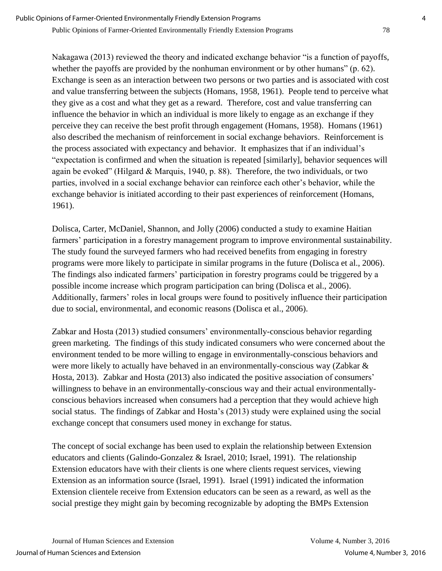Nakagawa (2013) reviewed the theory and indicated exchange behavior "is a function of payoffs, whether the payoffs are provided by the nonhuman environment or by other humans" (p. 62). Exchange is seen as an interaction between two persons or two parties and is associated with cost and value transferring between the subjects (Homans, 1958, 1961). People tend to perceive what they give as a cost and what they get as a reward. Therefore, cost and value transferring can influence the behavior in which an individual is more likely to engage as an exchange if they perceive they can receive the best profit through engagement (Homans, 1958). Homans (1961) also described the mechanism of reinforcement in social exchange behaviors. Reinforcement is the process associated with expectancy and behavior. It emphasizes that if an individual's "expectation is confirmed and when the situation is repeated [similarly], behavior sequences will again be evoked" (Hilgard & Marquis, 1940, p. 88). Therefore, the two individuals, or two parties, involved in a social exchange behavior can reinforce each other's behavior, while the exchange behavior is initiated according to their past experiences of reinforcement (Homans, 1961).

Dolisca, Carter, McDaniel, Shannon, and Jolly (2006) conducted a study to examine Haitian farmers' participation in a forestry management program to improve environmental sustainability. The study found the surveyed farmers who had received benefits from engaging in forestry programs were more likely to participate in similar programs in the future (Dolisca et al., 2006). The findings also indicated farmers' participation in forestry programs could be triggered by a possible income increase which program participation can bring (Dolisca et al., 2006). Additionally, farmers' roles in local groups were found to positively influence their participation due to social, environmental, and economic reasons (Dolisca et al., 2006).

Zabkar and Hosta (2013) studied consumers' environmentally-conscious behavior regarding green marketing. The findings of this study indicated consumers who were concerned about the environment tended to be more willing to engage in environmentally-conscious behaviors and were more likely to actually have behaved in an environmentally-conscious way (Zabkar & Hosta, 2013). Zabkar and Hosta (2013) also indicated the positive association of consumers' willingness to behave in an environmentally-conscious way and their actual environmentallyconscious behaviors increased when consumers had a perception that they would achieve high social status. The findings of Zabkar and Hosta's (2013) study were explained using the social exchange concept that consumers used money in exchange for status.

The concept of social exchange has been used to explain the relationship between Extension educators and clients (Galindo-Gonzalez & Israel, 2010; Israel, 1991). The relationship Extension educators have with their clients is one where clients request services, viewing Extension as an information source (Israel, 1991). Israel (1991) indicated the information Extension clientele receive from Extension educators can be seen as a reward, as well as the social prestige they might gain by becoming recognizable by adopting the BMPs Extension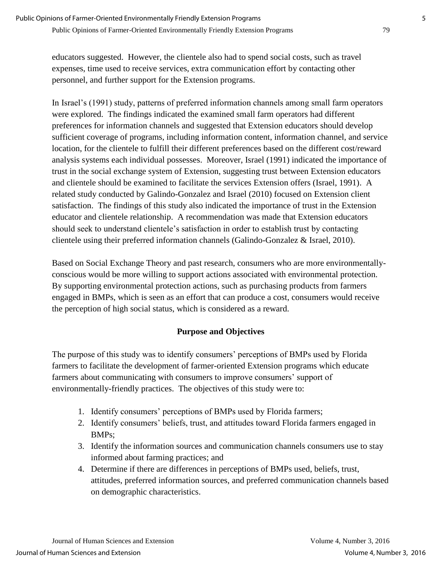educators suggested. However, the clientele also had to spend social costs, such as travel expenses, time used to receive services, extra communication effort by contacting other personnel, and further support for the Extension programs.

In Israel's (1991) study, patterns of preferred information channels among small farm operators were explored. The findings indicated the examined small farm operators had different preferences for information channels and suggested that Extension educators should develop sufficient coverage of programs, including information content, information channel, and service location, for the clientele to fulfill their different preferences based on the different cost/reward analysis systems each individual possesses. Moreover, Israel (1991) indicated the importance of trust in the social exchange system of Extension, suggesting trust between Extension educators and clientele should be examined to facilitate the services Extension offers (Israel, 1991). A related study conducted by Galindo-Gonzalez and Israel (2010) focused on Extension client satisfaction. The findings of this study also indicated the importance of trust in the Extension educator and clientele relationship. A recommendation was made that Extension educators should seek to understand clientele's satisfaction in order to establish trust by contacting clientele using their preferred information channels (Galindo-Gonzalez & Israel, 2010).

Based on Social Exchange Theory and past research, consumers who are more environmentallyconscious would be more willing to support actions associated with environmental protection. By supporting environmental protection actions, such as purchasing products from farmers engaged in BMPs, which is seen as an effort that can produce a cost, consumers would receive the perception of high social status, which is considered as a reward.

# **Purpose and Objectives**

The purpose of this study was to identify consumers' perceptions of BMPs used by Florida farmers to facilitate the development of farmer-oriented Extension programs which educate farmers about communicating with consumers to improve consumers' support of environmentally-friendly practices. The objectives of this study were to:

- 1. Identify consumers' perceptions of BMPs used by Florida farmers;
- 2. Identify consumers' beliefs, trust, and attitudes toward Florida farmers engaged in BMPs;
- 3. Identify the information sources and communication channels consumers use to stay informed about farming practices; and
- 4. Determine if there are differences in perceptions of BMPs used, beliefs, trust, attitudes, preferred information sources, and preferred communication channels based on demographic characteristics.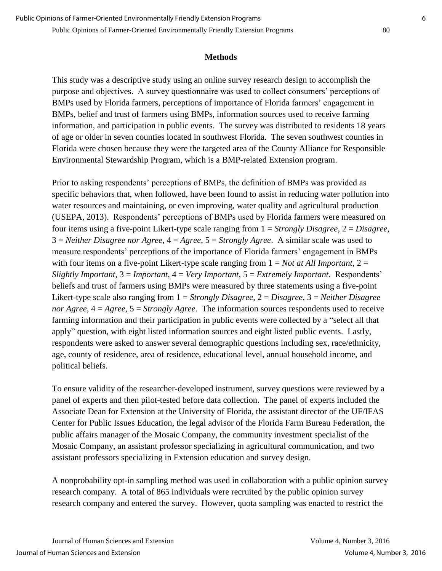### **Methods**

This study was a descriptive study using an online survey research design to accomplish the purpose and objectives. A survey questionnaire was used to collect consumers' perceptions of BMPs used by Florida farmers, perceptions of importance of Florida farmers' engagement in BMPs, belief and trust of farmers using BMPs, information sources used to receive farming information, and participation in public events. The survey was distributed to residents 18 years of age or older in seven counties located in southwest Florida. The seven southwest counties in Florida were chosen because they were the targeted area of the County Alliance for Responsible Environmental Stewardship Program, which is a BMP-related Extension program.

Prior to asking respondents' perceptions of BMPs, the definition of BMPs was provided as specific behaviors that, when followed, have been found to assist in reducing water pollution into water resources and maintaining, or even improving, water quality and agricultural production (USEPA, 2013). Respondents' perceptions of BMPs used by Florida farmers were measured on four items using a five-point Likert-type scale ranging from 1 = *Strongly Disagree*, 2 = *Disagree*, 3 = *Neither Disagree nor Agree*, 4 = *Agree*, 5 = *Strongly Agree*. A similar scale was used to measure respondents' perceptions of the importance of Florida farmers' engagement in BMPs with four items on a five-point Likert-type scale ranging from  $1 = Not$  *at All Important*,  $2 =$ *Slightly Important*, 3 = *Important*, 4 = *Very Important*, 5 = *Extremely Important*. Respondents' beliefs and trust of farmers using BMPs were measured by three statements using a five-point Likert-type scale also ranging from 1 = *Strongly Disagree*, 2 = *Disagree*, 3 = *Neither Disagree nor Agree*, 4 = *Agree*, 5 = *Strongly Agree*. The information sources respondents used to receive farming information and their participation in public events were collected by a "select all that apply" question, with eight listed information sources and eight listed public events. Lastly, respondents were asked to answer several demographic questions including sex, race/ethnicity, age, county of residence, area of residence, educational level, annual household income, and political beliefs.

To ensure validity of the researcher-developed instrument, survey questions were reviewed by a panel of experts and then pilot-tested before data collection. The panel of experts included the Associate Dean for Extension at the University of Florida, the assistant director of the UF/IFAS Center for Public Issues Education, the legal advisor of the Florida Farm Bureau Federation, the public affairs manager of the Mosaic Company, the community investment specialist of the Mosaic Company, an assistant professor specializing in agricultural communication, and two assistant professors specializing in Extension education and survey design.

A nonprobability opt-in sampling method was used in collaboration with a public opinion survey research company. A total of 865 individuals were recruited by the public opinion survey research company and entered the survey. However, quota sampling was enacted to restrict the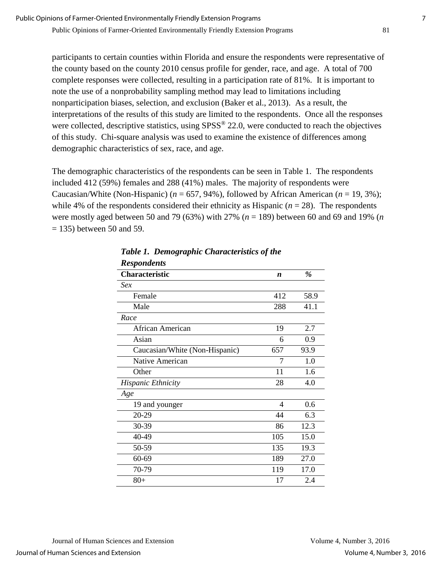participants to certain counties within Florida and ensure the respondents were representative of the county based on the county 2010 census profile for gender, race, and age. A total of 700 complete responses were collected, resulting in a participation rate of 81%. It is important to note the use of a nonprobability sampling method may lead to limitations including nonparticipation biases, selection, and exclusion (Baker et al., 2013). As a result, the interpretations of the results of this study are limited to the respondents. Once all the responses were collected, descriptive statistics, using  $SPSS^{\circledast}$  22.0, were conducted to reach the objectives of this study. Chi-square analysis was used to examine the existence of differences among demographic characteristics of sex, race, and age.

The demographic characteristics of the respondents can be seen in Table 1. The respondents included 412 (59%) females and 288 (41%) males. The majority of respondents were Caucasian/White (Non-Hispanic) ( $n = 657, 94\%$ ), followed by African American ( $n = 19, 3\%$ ); while 4% of the respondents considered their ethnicity as Hispanic  $(n = 28)$ . The respondents were mostly aged between 50 and 79 (63%) with 27% (*n* = 189) between 60 and 69 and 19% (*n*  $= 135$ ) between 50 and 59.

| Respondents                    |     |      |
|--------------------------------|-----|------|
| <b>Characteristic</b>          | n   | %    |
| <i>Sex</i>                     |     |      |
| Female                         | 412 | 58.9 |
| Male                           | 288 | 41.1 |
| Race                           |     |      |
| African American               | 19  | 2.7  |
| Asian                          | 6   | 0.9  |
| Caucasian/White (Non-Hispanic) | 657 | 93.9 |
| Native American                | 7   | 1.0  |
| Other                          | 11  | 1.6  |
| <b>Hispanic Ethnicity</b>      | 28  | 4.0  |
| Age                            |     |      |
| 19 and younger                 | 4   | 0.6  |
| 20-29                          | 44  | 6.3  |
| 30-39                          | 86  | 12.3 |
| 40-49                          | 105 | 15.0 |
| 50-59                          | 135 | 19.3 |
| 60-69                          | 189 | 27.0 |
| 70-79                          | 119 | 17.0 |
| $80+$                          | 17  | 2.4  |

*Table 1. Demographic Characteristics of the Respondents*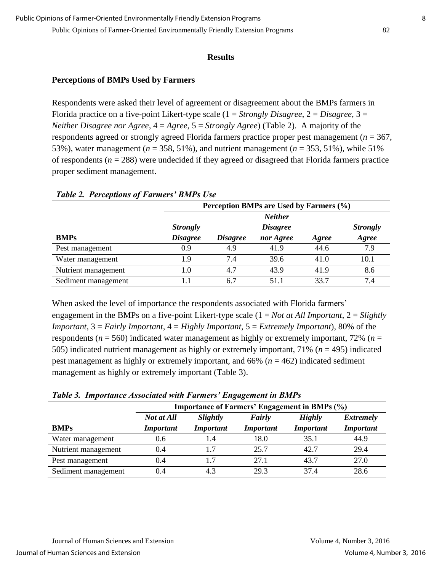#### **Results**

#### **Perceptions of BMPs Used by Farmers**

Respondents were asked their level of agreement or disagreement about the BMPs farmers in Florida practice on a five-point Likert-type scale (1 = *Strongly Disagree*, 2 = *Disagree*, 3 = *Neither Disagree nor Agree*, 4 = *Agree*, 5 = *Strongly Agree*) (Table 2). A majority of the respondents agreed or strongly agreed Florida farmers practice proper pest management (*n* = 367, 53%), water management (*n* = 358, 51%), and nutrient management (*n* = 353, 51%), while 51% of respondents  $(n = 288)$  were undecided if they agreed or disagreed that Florida farmers practice proper sediment management.

|                     | Perception BMPs are Used by Farmers (%) |                 |                 |       |                 |  |  |
|---------------------|-----------------------------------------|-----------------|-----------------|-------|-----------------|--|--|
|                     |                                         | <b>Neither</b>  |                 |       |                 |  |  |
|                     | <b>Strongly</b>                         |                 | <b>Disagree</b> |       | <b>Strongly</b> |  |  |
| <b>BMPs</b>         | <b>Disagree</b>                         | <b>Disagree</b> | nor Agree       | Agree | Agree           |  |  |
| Pest management     | 0.9                                     | 4.9             | 41.9            | 44.6  | 7.9             |  |  |
| Water management    | 1.9                                     | 7.4             | 39.6            | 41.0  | 10.1            |  |  |
| Nutrient management | 1.0                                     | 4.7             | 43.9            | 41.9  | 8.6             |  |  |
| Sediment management |                                         | 6.7             | 51.1            | 33.7  | 7.4             |  |  |

#### *Table 2. Perceptions of Farmers' BMPs Use*

When asked the level of importance the respondents associated with Florida farmers' engagement in the BMPs on a five-point Likert-type scale (1 = *Not at All Important*, 2 = *Slightly Important*, 3 = *Fairly Important*, 4 = *Highly Important*, 5 = *Extremely Important*), 80% of the respondents (*n* = 560) indicated water management as highly or extremely important, 72% (*n* = 505) indicated nutrient management as highly or extremely important, 71% (*n* = 495) indicated pest management as highly or extremely important, and 66% (*n* = 462) indicated sediment management as highly or extremely important (Table 3).

|                     | <b>Importance of Farmers' Engagement in BMPs (%)</b> |                  |                  |                  |                  |  |  |  |  |
|---------------------|------------------------------------------------------|------------------|------------------|------------------|------------------|--|--|--|--|
|                     | Not at All                                           | Slightly         | Fairly           | <b>Highly</b>    | <b>Extremely</b> |  |  |  |  |
| <b>BMPs</b>         | <b>Important</b>                                     | <i>Important</i> | <b>Important</b> | <b>Important</b> | <b>Important</b> |  |  |  |  |
| Water management    | 0.6                                                  | 1.4              | 18.0             | 35.1             | 44.9             |  |  |  |  |
| Nutrient management | 0.4                                                  | 1.7              | 25.7             | 42.7             | 29.4             |  |  |  |  |
| Pest management     | 0.4                                                  | 1.7              | 27.1             | 43.7             | 27.0             |  |  |  |  |
| Sediment management | 0.4                                                  | 4.3              | 29.3             | 374              | 28.6             |  |  |  |  |

#### *Table 3. Importance Associated with Farmers' Engagement in BMPs*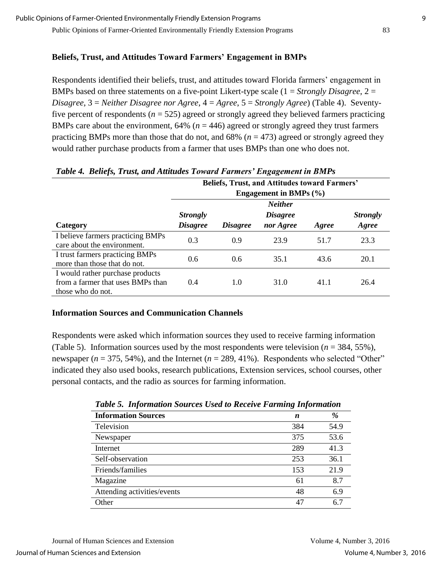## **Beliefs, Trust, and Attitudes Toward Farmers' Engagement in BMPs**

Respondents identified their beliefs, trust, and attitudes toward Florida farmers' engagement in BMPs based on three statements on a five-point Likert-type scale (1 = *Strongly Disagree*, 2 = *Disagree*, 3 = *Neither Disagree nor Agree*, 4 = *Agree*, 5 = *Strongly Agree*) (Table 4). Seventyfive percent of respondents ( $n = 525$ ) agreed or strongly agreed they believed farmers practicing BMPs care about the environment,  $64\%$  ( $n = 446$ ) agreed or strongly agreed they trust farmers practicing BMPs more than those that do not, and 68% (*n* = 473) agreed or strongly agreed they would rather purchase products from a farmer that uses BMPs than one who does not.

| <b>Beliefs, Trust, and Attitudes toward Farmers'</b>                                       |                            |                        |                        |       |                 |  |  |
|--------------------------------------------------------------------------------------------|----------------------------|------------------------|------------------------|-------|-----------------|--|--|
|                                                                                            | Engagement in BMPs $(\% )$ |                        |                        |       |                 |  |  |
|                                                                                            |                            |                        | <b>Neither</b>         |       |                 |  |  |
|                                                                                            | <b>Strongly</b>            |                        | <i><b>Disagree</b></i> |       | <b>Strongly</b> |  |  |
| Category                                                                                   | <b>Disagree</b>            | <i><b>Disagree</b></i> | nor Agree              | Agree | Agree           |  |  |
| I believe farmers practicing BMPs<br>care about the environment.                           | 0.3                        | 0.9                    | 23.9                   | 51.7  | 23.3            |  |  |
| I trust farmers practicing BMPs<br>more than those that do not.                            | 0.6                        | 0.6                    | 35.1                   | 43.6  | 20.1            |  |  |
| I would rather purchase products<br>from a farmer that uses BMPs than<br>those who do not. | 0.4                        | 1.0                    | 31.0                   | 41.1  | 26.4            |  |  |

## *Table 4. Beliefs, Trust, and Attitudes Toward Farmers' Engagement in BMPs*

## **Information Sources and Communication Channels**

Respondents were asked which information sources they used to receive farming information (Table 5). Information sources used by the most respondents were television (*n* = 384, 55%), newspaper ( $n = 375, 54\%$ ), and the Internet ( $n = 289, 41\%$ ). Respondents who selected "Other" indicated they also used books, research publications, Extension services, school courses, other personal contacts, and the radio as sources for farming information.

| Tuble 5. Thjormanon Sources Osea to Kecelve I arming Thjormanon |     |      |  |  |
|-----------------------------------------------------------------|-----|------|--|--|
| <b>Information Sources</b>                                      | n   | %    |  |  |
| Television                                                      | 384 | 54.9 |  |  |
| Newspaper                                                       | 375 | 53.6 |  |  |
| Internet                                                        | 289 | 41.3 |  |  |
| Self-observation                                                | 253 | 36.1 |  |  |
| Friends/families                                                | 153 | 21.9 |  |  |
| Magazine                                                        | 61  | 8.7  |  |  |
| Attending activities/events                                     | 48  | 6.9  |  |  |
| Other                                                           | 47  | 6.7  |  |  |

|  | Table 5. Information Sources Used to Receive Farming Information |  |  |  |  |  |
|--|------------------------------------------------------------------|--|--|--|--|--|
|--|------------------------------------------------------------------|--|--|--|--|--|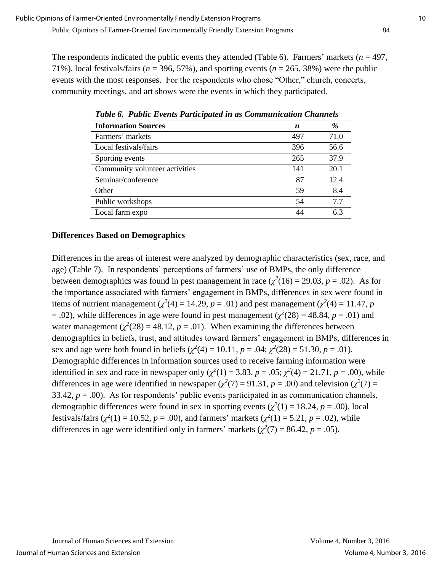The respondents indicated the public events they attended (Table 6). Farmers' markets ( $n = 497$ , 71%), local festivals/fairs ( $n = 396, 57\%$ ), and sporting events ( $n = 265, 38\%$ ) were the public events with the most responses. For the respondents who chose "Other," church, concerts, community meetings, and art shows were the events in which they participated.

| Tubic 6. Tubile Events I anticipated in as Communication Channels |     |      |  |  |  |
|-------------------------------------------------------------------|-----|------|--|--|--|
| <b>Information Sources</b>                                        | n   | %    |  |  |  |
| Farmers' markets                                                  | 497 | 71.0 |  |  |  |
| Local festivals/fairs                                             | 396 | 56.6 |  |  |  |
| Sporting events                                                   | 265 | 37.9 |  |  |  |
| Community volunteer activities                                    | 141 | 20.1 |  |  |  |
| Seminar/conference                                                | 87  | 12.4 |  |  |  |
| Other                                                             | 59  | 8.4  |  |  |  |
| Public workshops                                                  | 54  | 7.7  |  |  |  |
| Local farm expo                                                   | 44  | 6.3  |  |  |  |

*Table 6. Public Events Participated in as Communication Channels*

## **Differences Based on Demographics**

Differences in the areas of interest were analyzed by demographic characteristics (sex, race, and age) (Table 7). In respondents' perceptions of farmers' use of BMPs, the only difference between demographics was found in pest management in race  $(\chi^2(16) = 29.03, p = .02)$ . As for the importance associated with farmers' engagement in BMPs, differences in sex were found in items of nutrient management ( $\chi^2(4) = 14.29$ ,  $p = .01$ ) and pest management ( $\chi^2(4) = 11.47$ ,  $p$  $= .02$ ), while differences in age were found in pest management ( $\chi^2(28) = 48.84$ ,  $p = .01$ ) and water management  $(\chi^2(28) = 48.12, p = .01)$ . When examining the differences between demographics in beliefs, trust, and attitudes toward farmers' engagement in BMPs, differences in sex and age were both found in beliefs ( $\chi^2(4) = 10.11$ ,  $p = .04$ ;  $\chi^2(28) = 51.30$ ,  $p = .01$ ). Demographic differences in information sources used to receive farming information were identified in sex and race in newspaper only  $(\chi^2(1) = 3.83, p = .05; \chi^2(4) = 21.71, p = .00)$ , while differences in age were identified in newspaper ( $\chi^2(7) = 91.31$ ,  $p = .00$ ) and television ( $\chi^2(7) =$ 33.42,  $p = .00$ ). As for respondents' public events participated in as communication channels, demographic differences were found in sex in sporting events ( $\chi^2(1) = 18.24$ ,  $p = .00$ ), local festivals/fairs ( $\chi^2(1) = 10.52$ , *p* = .00), and farmers' markets ( $\chi^2(1) = 5.21$ , *p* = .02), while differences in age were identified only in farmers' markets ( $\chi^2(7) = 86.42$ ,  $p = .05$ ).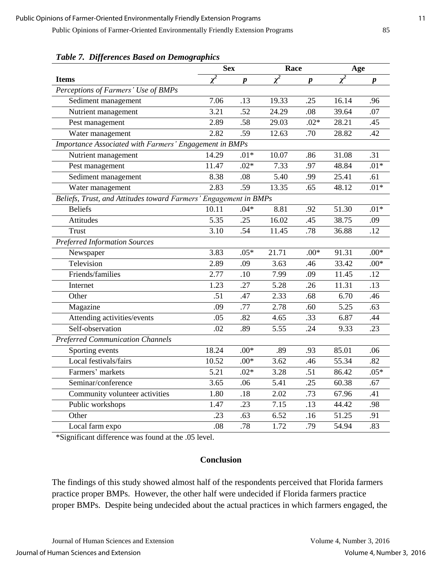|                                                                  | <b>Sex</b> |                  | Race     |                  | Age      |                  |
|------------------------------------------------------------------|------------|------------------|----------|------------------|----------|------------------|
| <b>Items</b>                                                     | $\chi^2$   | $\boldsymbol{p}$ | $\chi^2$ | $\boldsymbol{p}$ | $\chi^2$ | $\boldsymbol{p}$ |
| Perceptions of Farmers' Use of BMPs                              |            |                  |          |                  |          |                  |
| Sediment management                                              | 7.06       | .13              | 19.33    | .25              | 16.14    | .96              |
| Nutrient management                                              | 3.21       | .52              | 24.29    | .08              | 39.64    | .07              |
| Pest management                                                  | 2.89       | .58              | 29.03    | $.02*$           | 28.21    | .45              |
| Water management                                                 | 2.82       | .59              | 12.63    | .70              | 28.82    | .42              |
| Importance Associated with Farmers' Engagement in BMPs           |            |                  |          |                  |          |                  |
| Nutrient management                                              | 14.29      | $.01*$           | 10.07    | .86              | 31.08    | .31              |
| Pest management                                                  | 11.47      | $.02*$           | 7.33     | .97              | 48.84    | $.01*$           |
| Sediment management                                              | 8.38       | .08              | 5.40     | .99              | 25.41    | .61              |
| Water management                                                 | 2.83       | .59              | 13.35    | .65              | 48.12    | $.01*$           |
| Beliefs, Trust, and Attitudes toward Farmers' Engagement in BMPs |            |                  |          |                  |          |                  |
| <b>Beliefs</b>                                                   | 10.11      | $.04*$           | 8.81     | .92              | 51.30    | $.01*$           |
| Attitudes                                                        | 5.35       | .25              | 16.02    | .45              | 38.75    | .09              |
| <b>Trust</b>                                                     | 3.10       | .54              | 11.45    | .78              | 36.88    | .12              |
| <b>Preferred Information Sources</b>                             |            |                  |          |                  |          |                  |
| Newspaper                                                        | 3.83       | $.05*$           | 21.71    | $.00*$           | 91.31    | $.00*$           |
| Television                                                       | 2.89       | .09              | 3.63     | .46              | 33.42    | $.00*$           |
| Friends/families                                                 | 2.77       | .10              | 7.99     | .09              | 11.45    | .12              |
| Internet                                                         | 1.23       | .27              | 5.28     | .26              | 11.31    | .13              |
| Other                                                            | .51        | .47              | 2.33     | .68              | 6.70     | .46              |
| Magazine                                                         | .09        | .77              | 2.78     | .60              | 5.25     | .63              |
| Attending activities/events                                      | .05        | .82              | 4.65     | .33              | 6.87     | .44              |
| Self-observation                                                 | .02        | .89              | 5.55     | .24              | 9.33     | .23              |
| <b>Preferred Communication Channels</b>                          |            |                  |          |                  |          |                  |
| Sporting events                                                  | 18.24      | $.00*$           | .89      | .93              | 85.01    | .06              |
| Local festivals/fairs                                            | 10.52      | $.00*$           | 3.62     | .46              | 55.34    | .82              |
| Farmers' markets                                                 | 5.21       | $.02*$           | 3.28     | .51              | 86.42    | $.05*$           |
| Seminar/conference                                               | 3.65       | .06              | 5.41     | .25              | 60.38    | .67              |
| Community volunteer activities                                   | 1.80       | .18              | 2.02     | .73              | 67.96    | .41              |
| Public workshops                                                 | 1.47       | .23              | 7.15     | .13              | 44.42    | .98              |
| Other                                                            | .23        | .63              | 6.52     | .16              | 51.25    | .91              |
| Local farm expo                                                  | .08        | .78              | 1.72     | .79              | 54.94    | .83              |

*Table 7. Differences Based on Demographics*

\*Significant difference was found at the .05 level.

#### **Conclusion**

The findings of this study showed almost half of the respondents perceived that Florida farmers practice proper BMPs. However, the other half were undecided if Florida farmers practice proper BMPs. Despite being undecided about the actual practices in which farmers engaged, the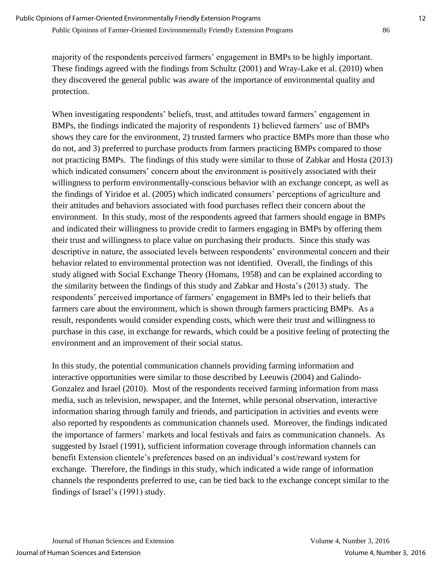majority of the respondents perceived farmers' engagement in BMPs to be highly important. These findings agreed with the findings from Schultz (2001) and Wray-Lake et al. (2010) when they discovered the general public was aware of the importance of environmental quality and protection.

When investigating respondents' beliefs, trust, and attitudes toward farmers' engagement in BMPs, the findings indicated the majority of respondents 1) believed farmers' use of BMPs shows they care for the environment, 2) trusted farmers who practice BMPs more than those who do not, and 3) preferred to purchase products from farmers practicing BMPs compared to those not practicing BMPs. The findings of this study were similar to those of Zabkar and Hosta (2013) which indicated consumers' concern about the environment is positively associated with their willingness to perform environmentally-conscious behavior with an exchange concept, as well as the findings of Yiridoe et al. (2005) which indicated consumers' perceptions of agriculture and their attitudes and behaviors associated with food purchases reflect their concern about the environment. In this study, most of the respondents agreed that farmers should engage in BMPs and indicated their willingness to provide credit to farmers engaging in BMPs by offering them their trust and willingness to place value on purchasing their products. Since this study was descriptive in nature, the associated levels between respondents' environmental concern and their behavior related to environmental protection was not identified. Overall, the findings of this study aligned with Social Exchange Theory (Homans, 1958) and can be explained according to the similarity between the findings of this study and Zabkar and Hosta's (2013) study. The respondents' perceived importance of farmers' engagement in BMPs led to their beliefs that farmers care about the environment, which is shown through farmers practicing BMPs. As a result, respondents would consider expending costs, which were their trust and willingness to purchase in this case, in exchange for rewards, which could be a positive feeling of protecting the environment and an improvement of their social status.

In this study, the potential communication channels providing farming information and interactive opportunities were similar to those described by Leeuwis (2004) and Galindo-Gonzalez and Israel (2010). Most of the respondents received farming information from mass media, such as television, newspaper, and the Internet, while personal observation, interactive information sharing through family and friends, and participation in activities and events were also reported by respondents as communication channels used. Moreover, the findings indicated the importance of farmers' markets and local festivals and fairs as communication channels. As suggested by Israel (1991), sufficient information coverage through information channels can benefit Extension clientele's preferences based on an individual's cost/reward system for exchange. Therefore, the findings in this study, which indicated a wide range of information channels the respondents preferred to use, can be tied back to the exchange concept similar to the findings of Israel's (1991) study.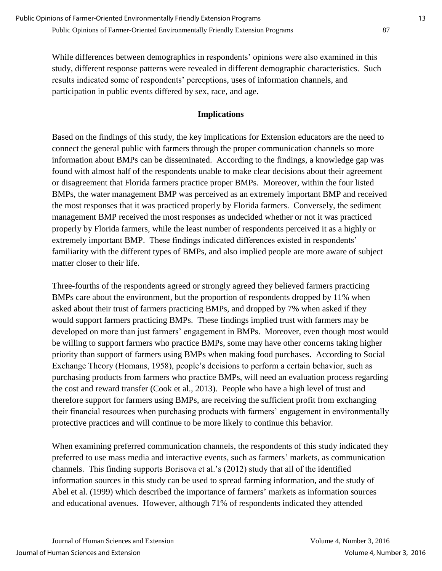While differences between demographics in respondents' opinions were also examined in this study, different response patterns were revealed in different demographic characteristics. Such results indicated some of respondents' perceptions, uses of information channels, and participation in public events differed by sex, race, and age.

## **Implications**

Based on the findings of this study, the key implications for Extension educators are the need to connect the general public with farmers through the proper communication channels so more information about BMPs can be disseminated. According to the findings, a knowledge gap was found with almost half of the respondents unable to make clear decisions about their agreement or disagreement that Florida farmers practice proper BMPs. Moreover, within the four listed BMPs, the water management BMP was perceived as an extremely important BMP and received the most responses that it was practiced properly by Florida farmers. Conversely, the sediment management BMP received the most responses as undecided whether or not it was practiced properly by Florida farmers, while the least number of respondents perceived it as a highly or extremely important BMP. These findings indicated differences existed in respondents' familiarity with the different types of BMPs, and also implied people are more aware of subject matter closer to their life.

Three-fourths of the respondents agreed or strongly agreed they believed farmers practicing BMPs care about the environment, but the proportion of respondents dropped by 11% when asked about their trust of farmers practicing BMPs, and dropped by 7% when asked if they would support farmers practicing BMPs. These findings implied trust with farmers may be developed on more than just farmers' engagement in BMPs. Moreover, even though most would be willing to support farmers who practice BMPs, some may have other concerns taking higher priority than support of farmers using BMPs when making food purchases. According to Social Exchange Theory (Homans, 1958), people's decisions to perform a certain behavior, such as purchasing products from farmers who practice BMPs, will need an evaluation process regarding the cost and reward transfer (Cook et al., 2013). People who have a high level of trust and therefore support for farmers using BMPs, are receiving the sufficient profit from exchanging their financial resources when purchasing products with farmers' engagement in environmentally protective practices and will continue to be more likely to continue this behavior.

When examining preferred communication channels, the respondents of this study indicated they preferred to use mass media and interactive events, such as farmers' markets, as communication channels. This finding supports Borisova et al.'s (2012) study that all of the identified information sources in this study can be used to spread farming information, and the study of Abel et al. (1999) which described the importance of farmers' markets as information sources and educational avenues. However, although 71% of respondents indicated they attended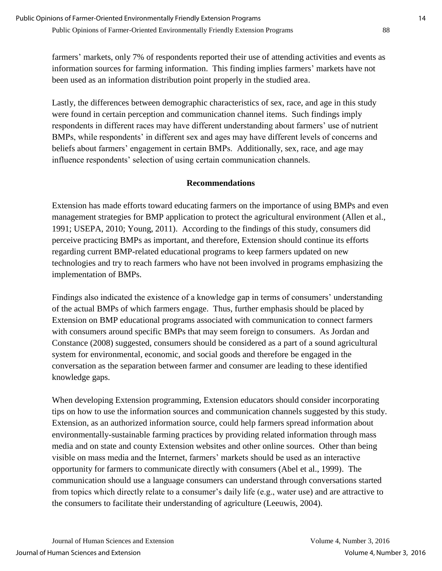farmers' markets, only 7% of respondents reported their use of attending activities and events as information sources for farming information. This finding implies farmers' markets have not been used as an information distribution point properly in the studied area.

Lastly, the differences between demographic characteristics of sex, race, and age in this study were found in certain perception and communication channel items. Such findings imply respondents in different races may have different understanding about farmers' use of nutrient BMPs, while respondents' in different sex and ages may have different levels of concerns and beliefs about farmers' engagement in certain BMPs. Additionally, sex, race, and age may influence respondents' selection of using certain communication channels.

## **Recommendations**

Extension has made efforts toward educating farmers on the importance of using BMPs and even management strategies for BMP application to protect the agricultural environment (Allen et al., 1991; USEPA, 2010; Young, 2011). According to the findings of this study, consumers did perceive practicing BMPs as important, and therefore, Extension should continue its efforts regarding current BMP-related educational programs to keep farmers updated on new technologies and try to reach farmers who have not been involved in programs emphasizing the implementation of BMPs.

Findings also indicated the existence of a knowledge gap in terms of consumers' understanding of the actual BMPs of which farmers engage. Thus, further emphasis should be placed by Extension on BMP educational programs associated with communication to connect farmers with consumers around specific BMPs that may seem foreign to consumers. As Jordan and Constance (2008) suggested, consumers should be considered as a part of a sound agricultural system for environmental, economic, and social goods and therefore be engaged in the conversation as the separation between farmer and consumer are leading to these identified knowledge gaps.

When developing Extension programming, Extension educators should consider incorporating tips on how to use the information sources and communication channels suggested by this study. Extension, as an authorized information source, could help farmers spread information about environmentally-sustainable farming practices by providing related information through mass media and on state and county Extension websites and other online sources. Other than being visible on mass media and the Internet, farmers' markets should be used as an interactive opportunity for farmers to communicate directly with consumers (Abel et al., 1999). The communication should use a language consumers can understand through conversations started from topics which directly relate to a consumer's daily life (e.g., water use) and are attractive to the consumers to facilitate their understanding of agriculture (Leeuwis, 2004).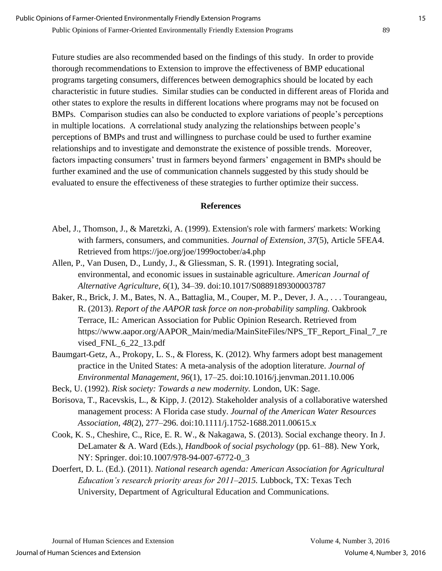Future studies are also recommended based on the findings of this study. In order to provide thorough recommendations to Extension to improve the effectiveness of BMP educational programs targeting consumers, differences between demographics should be located by each characteristic in future studies. Similar studies can be conducted in different areas of Florida and other states to explore the results in different locations where programs may not be focused on BMPs. Comparison studies can also be conducted to explore variations of people's perceptions in multiple locations. A correlational study analyzing the relationships between people's perceptions of BMPs and trust and willingness to purchase could be used to further examine relationships and to investigate and demonstrate the existence of possible trends. Moreover, factors impacting consumers' trust in farmers beyond farmers' engagement in BMPs should be further examined and the use of communication channels suggested by this study should be evaluated to ensure the effectiveness of these strategies to further optimize their success.

#### **References**

- Abel, J., Thomson, J., & Maretzki, A. (1999). Extension's role with farmers' markets: Working with farmers, consumers, and communities. *Journal of Extension, 37*(5), Article 5FEA4. Retrieved from https://joe.org/joe/1999october/a4.php
- Allen, P., Van Dusen, D., Lundy, J., & Gliessman, S. R. (1991). Integrating social, environmental, and economic issues in sustainable agriculture. *American Journal of Alternative Agriculture, 6*(1), 34–39. doi:10.1017/S0889189300003787
- Baker, R., Brick, J. M., Bates, N. A., Battaglia, M., Couper, M. P., Dever, J. A., . . . Tourangeau, R. (2013). *Report of the AAPOR task force on non-probability sampling.* Oakbrook Terrace, IL: American Association for Public Opinion Research. Retrieved from https://www.aapor.org/AAPOR\_Main/media/MainSiteFiles/NPS\_TF\_Report\_Final\_7\_re vised\_FNL\_6\_22\_13.pdf
- Baumgart-Getz, A., Prokopy, L. S., & Floress, K. (2012). Why farmers adopt best management practice in the United States: A meta-analysis of the adoption literature. *Journal of Environmental Management, 96*(1), 17–25. doi:10.1016/j.jenvman.2011.10.006

Beck, U. (1992). *Risk society: Towards a new modernity.* London, UK: Sage.

- Borisova, T., Racevskis, L., & Kipp, J. (2012). Stakeholder analysis of a collaborative watershed management process: A Florida case study. *Journal of the American Water Resources Association, 48*(2), 277–296. doi:10.1111/j.1752-1688.2011.00615.x
- Cook, K. S., Cheshire, C., Rice, E. R. W., & Nakagawa, S. (2013). Social exchange theory. In J. DeLamater & A. Ward (Eds.), *Handbook of social psychology* (pp. 61–88). New York, NY: Springer. doi:10.1007/978-94-007-6772-0\_3
- Doerfert, D. L. (Ed.). (2011). *National research agenda: American Association for Agricultural Education's research priority areas for 2011–2015.* Lubbock, TX: Texas Tech University, Department of Agricultural Education and Communications.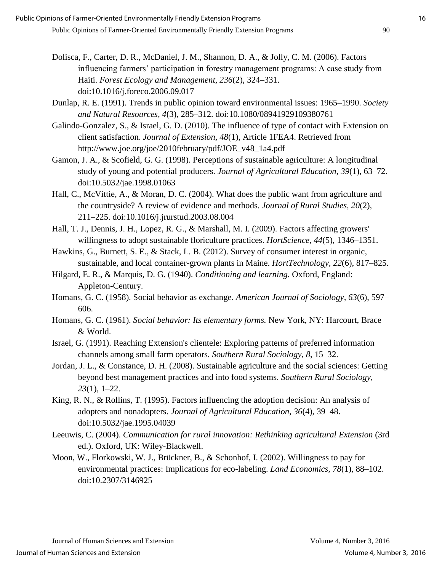- Dolisca, F., Carter, D. R., McDaniel, J. M., Shannon, D. A., & Jolly, C. M. (2006). Factors influencing farmers' participation in forestry management programs: A case study from Haiti. *Forest Ecology and Management*, *236*(2), 324–331. doi:10.1016/j.foreco.2006.09.017
- Dunlap, R. E. (1991). Trends in public opinion toward environmental issues: 1965–1990. *Society and Natural Resources, 4*(3), 285–312. doi:10.1080/08941929109380761
- Galindo-Gonzalez, S., & Israel, G. D. (2010). The influence of type of contact with Extension on client satisfaction. *Journal of Extension, 48*(1), Article 1FEA4. Retrieved from http://www.joe.org/joe/2010february/pdf/JOE\_v48\_1a4.pdf
- Gamon, J. A., & Scofield, G. G. (1998). Perceptions of sustainable agriculture: A longitudinal study of young and potential producers. *Journal of Agricultural Education*, *39*(1), 63–72. doi:10.5032/jae.1998.01063
- Hall, C., McVittie, A., & Moran, D. C. (2004). What does the public want from agriculture and the countryside? A review of evidence and methods. *Journal of Rural Studies, 20*(2), 211–225. doi:10.1016/j.jrurstud.2003.08.004
- Hall, T. J., Dennis, J. H., Lopez, R. G., & Marshall, M. I. (2009). Factors affecting growers' willingness to adopt sustainable floriculture practices. *HortScience, 44*(5), 1346–1351.
- Hawkins, G., Burnett, S. E., & Stack, L. B. (2012). Survey of consumer interest in organic, sustainable, and local container-grown plants in Maine. *HortTechnology, 22*(6), 817–825.
- Hilgard, E. R., & Marquis, D. G. (1940). *Conditioning and learning.* Oxford, England: Appleton-Century.
- Homans, G. C. (1958). Social behavior as exchange. *American Journal of Sociology, 63*(6), 597– 606.
- Homans, G. C. (1961). *Social behavior: Its elementary forms.* New York, NY: Harcourt, Brace & World.
- Israel, G. (1991). Reaching Extension's clientele: Exploring patterns of preferred information channels among small farm operators. *Southern Rural Sociology, 8*, 15–32.
- Jordan, J. L., & Constance, D. H. (2008). Sustainable agriculture and the social sciences: Getting beyond best management practices and into food systems. *Southern Rural Sociology, 23*(1), 1–22.
- King, R. N., & Rollins, T. (1995). Factors influencing the adoption decision: An analysis of adopters and nonadopters. *Journal of Agricultural Education*, *36*(4), 39–48. doi:10.5032/jae.1995.04039
- Leeuwis, C. (2004). *Communication for rural innovation: Rethinking agricultural Extension* (3rd ed.). Oxford, UK: Wiley-Blackwell.
- Moon, W., Florkowski, W. J., Brückner, B., & Schonhof, I. (2002). Willingness to pay for environmental practices: Implications for eco-labeling. *Land Economics, 78*(1), 88–102. doi:10.2307/3146925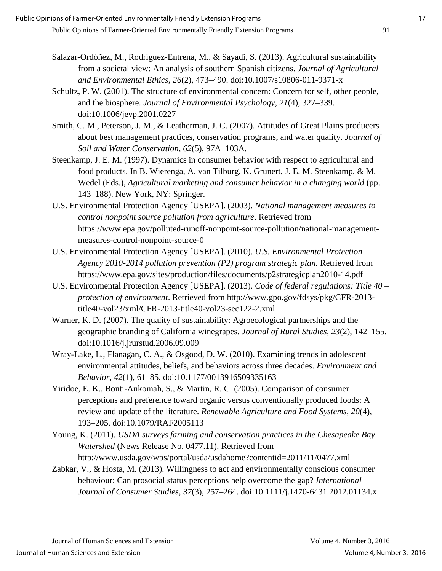- Salazar-Ordóñez, M., Rodríguez-Entrena, M., & Sayadi, S. (2013). Agricultural sustainability from a societal view: An analysis of southern Spanish citizens. *Journal of Agricultural and Environmental Ethics, 26*(2), 473–490. doi:10.1007/s10806-011-9371-x
- Schultz, P. W. (2001). The structure of environmental concern: Concern for self, other people, and the biosphere. *Journal of Environmental Psychology, 21*(4), 327–339. doi:10.1006/jevp.2001.0227
- Smith, C. M., Peterson, J. M., & Leatherman, J. C. (2007). Attitudes of Great Plains producers about best management practices, conservation programs, and water quality. *Journal of Soil and Water Conservation, 62*(5), 97A–103A.
- Steenkamp, J. E. M. (1997). Dynamics in consumer behavior with respect to agricultural and food products. In B. Wierenga, A. van Tilburg, K. Grunert, J. E. M. Steenkamp, & M. Wedel (Eds.), *Agricultural marketing and consumer behavior in a changing world* (pp. 143–188). New York, NY: Springer.
- U.S. Environmental Protection Agency [USEPA]. (2003). *National management measures to control nonpoint source pollution from agriculture*. Retrieved from https://www.epa.gov/polluted-runoff-nonpoint-source-pollution/national-managementmeasures-control-nonpoint-source-0
- U.S. Environmental Protection Agency [USEPA]. (2010). *U.S. Environmental Protection Agency 2010-2014 pollution prevention (P2) program strategic plan.* Retrieved from https://www.epa.gov/sites/production/files/documents/p2strategicplan2010-14.pdf
- U.S. Environmental Protection Agency [USEPA]. (2013). *Code of federal regulations: Title 40 – protection of environment*. Retrieved from http://www.gpo.gov/fdsys/pkg/CFR-2013 title40-vol23/xml/CFR-2013-title40-vol23-sec122-2.xml
- Warner, K. D. (2007). The quality of sustainability: Agroecological partnerships and the geographic branding of California winegrapes. *Journal of Rural Studies, 23*(2), 142–155. doi:10.1016/j.jrurstud.2006.09.009
- Wray-Lake, L., Flanagan, C. A., & Osgood, D. W. (2010). Examining trends in adolescent environmental attitudes, beliefs, and behaviors across three decades. *Environment and Behavior, 42*(1), 61–85. doi:10.1177/0013916509335163
- Yiridoe, E. K., Bonti-Ankomah, S., & Martin, R. C. (2005). Comparison of consumer perceptions and preference toward organic versus conventionally produced foods: A review and update of the literature. *Renewable Agriculture and Food Systems, 20*(4), 193–205. doi:10.1079/RAF2005113
- Young, K. (2011). *USDA surveys farming and conservation practices in the Chesapeake Bay Watershed* (News Release No. 0477.11). Retrieved from http://www.usda.gov/wps/portal/usda/usdahome?contentid=2011/11/0477.xml
- Zabkar, V., & Hosta, M. (2013). Willingness to act and environmentally conscious consumer behaviour: Can prosocial status perceptions help overcome the gap? *International Journal of Consumer Studies, 37*(3), 257–264. doi:10.1111/j.1470-6431.2012.01134.x